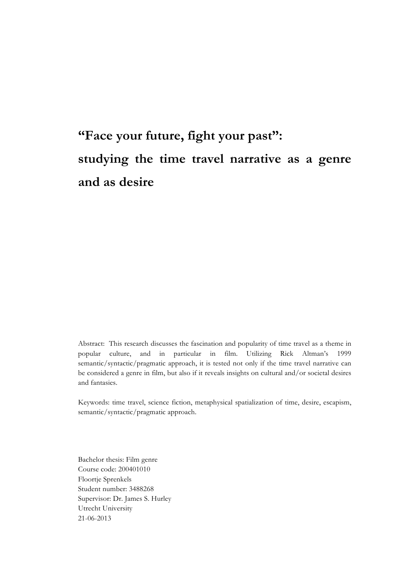# **"Face your future, fight your past": studying the time travel narrative as a genre and as desire**

Abstract: This research discusses the fascination and popularity of time travel as a theme in popular culture, and in particular in film. Utilizing Rick Altman's 1999 semantic/syntactic/pragmatic approach, it is tested not only if the time travel narrative can be considered a genre in film, but also if it reveals insights on cultural and/or societal desires and fantasies.

Keywords: time travel, science fiction, metaphysical spatialization of time, desire, escapism, semantic/syntactic/pragmatic approach.

Bachelor thesis: Film genre Course code: 200401010 Floortje Sprenkels Student number: 3488268 Supervisor: Dr. James S. Hurley Utrecht University 21-06-2013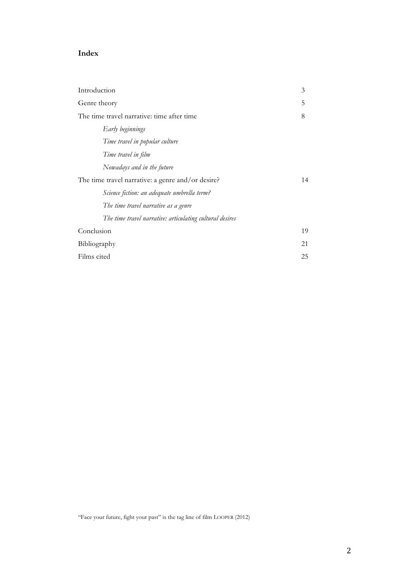## **Index**

| Introduction                                                                                     | 3  |
|--------------------------------------------------------------------------------------------------|----|
| Genre theory                                                                                     | 5  |
| The time travel narrative: time after time                                                       | 8  |
| Early beginnings                                                                                 |    |
| Time travel in popular culture                                                                   |    |
| Time travel in film                                                                              |    |
| Nowadays and in the future                                                                       |    |
| The time travel narrative: a genre and/or desire?                                                | 14 |
| Science fiction: an adequate umbrella term?                                                      |    |
| The time travel narrative as a genre<br>The time travel narrative: articulating cultural desires |    |
|                                                                                                  |    |
| Conclusion                                                                                       | 19 |
| Bibliography                                                                                     | 21 |
| Films cited                                                                                      | 25 |

"Face your future, fight your past" is the tag line of film LOOPER (2012)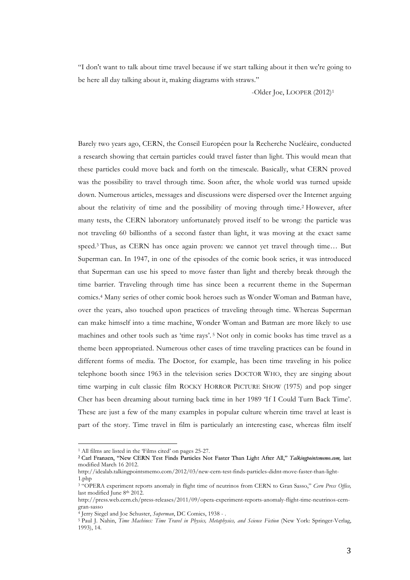"I don't want to talk about time travel because if we start talking about it then we're going to be here all day talking about it, making diagrams with straws."

-Older Joe, LOOPER (2012)1

Barely two years ago, CERN, the Conseil Européen pour la Recherche Nucléaire, conducted a research showing that certain particles could travel faster than light. This would mean that these particles could move back and forth on the timescale. Basically, what CERN proved was the possibility to travel through time. Soon after, the whole world was turned upside down. Numerous articles, messages and discussions were dispersed over the Internet arguing about the relativity of time and the possibility of moving through time.2 However, after many tests, the CERN laboratory unfortunately proved itself to be wrong: the particle was not traveling 60 billionths of a second faster than light, it was moving at the exact same speed.3 Thus, as CERN has once again proven: we cannot yet travel through time… But Superman can. In 1947, in one of the episodes of the comic book series, it was introduced that Superman can use his speed to move faster than light and thereby break through the time barrier. Traveling through time has since been a recurrent theme in the Superman comics.4 Many series of other comic book heroes such as Wonder Woman and Batman have, over the years, also touched upon practices of traveling through time. Whereas Superman can make himself into a time machine, Wonder Woman and Batman are more likely to use machines and other tools such as 'time rays'. <sup>5</sup> Not only in comic books has time travel as a theme been appropriated. Numerous other cases of time traveling practices can be found in different forms of media. The Doctor, for example, has been time traveling in his police telephone booth since 1963 in the television series DOCTOR WHO, they are singing about time warping in cult classic film ROCKY HORROR PICTURE SHOW (1975) and pop singer Cher has been dreaming about turning back time in her 1989 'If I Could Turn Back Time'. These are just a few of the many examples in popular culture wherein time travel at least is part of the story. Time travel in film is particularly an interesting case, whereas film itself

<sup>1</sup> All films are listed in the 'Films cited' on pages 25-27.

<sup>2</sup> Carl Franzen, "New CERN Test Finds Particles Not Faster Than Light After All," *Talkingpointsmemo.com,* last modified March 16 2012.

http://idealab.talkingpointsmemo.com/2012/03/new-cern-test-finds-particles-didnt-move-faster-than-light-1.php

<sup>3</sup> "OPERA experiment reports anomaly in flight time of neutrinos from CERN to Gran Sasso," *Cern Press Office,*  last modified June 8th 2012.

http://press.web.cern.ch/press-releases/2011/09/opera-experiment-reports-anomaly-flight-time-neutrinos-cerngran-sasso

<sup>4</sup> Jerry Siegel and Joe Schuster, *Superman*, DC Comics, 1938 - .

<sup>5</sup> Paul J. Nahin, *Time Machines: Time Travel in Physics, Metaphysics, and Science Fiction* (New York: Springer-Verlag, 1993), 14.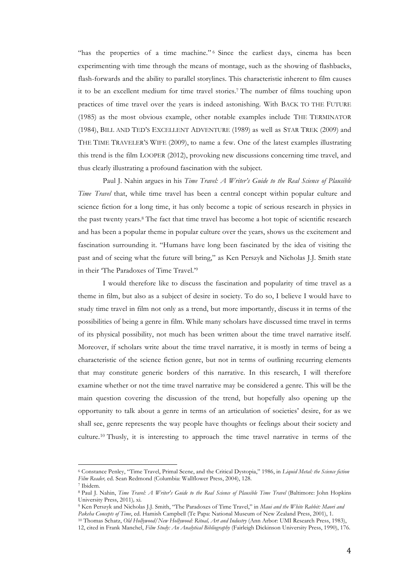"has the properties of a time machine." 6 Since the earliest days, cinema has been experimenting with time through the means of montage, such as the showing of flashbacks, flash-forwards and the ability to parallel storylines. This characteristic inherent to film causes it to be an excellent medium for time travel stories.7 The number of films touching upon practices of time travel over the years is indeed astonishing. With BACK TO THE FUTURE (1985) as the most obvious example, other notable examples include THE TERMINATOR (1984), BILL AND TED'S EXCELLENT ADVENTURE (1989) as well as STAR TREK (2009) and THE TIME TRAVELER'S WIFE (2009), to name a few. One of the latest examples illustrating this trend is the film LOOPER (2012), provoking new discussions concerning time travel, and thus clearly illustrating a profound fascination with the subject.

Paul J. Nahin argues in his *Time Travel: A Writer's Guide to the Real Science of Plausible Time Travel* that, while time travel has been a central concept within popular culture and science fiction for a long time, it has only become a topic of serious research in physics in the past twenty years.8 The fact that time travel has become a hot topic of scientific research and has been a popular theme in popular culture over the years, shows us the excitement and fascination surrounding it. "Humans have long been fascinated by the idea of visiting the past and of seeing what the future will bring," as Ken Perszyk and Nicholas J.J. Smith state in their 'The Paradoxes of Time Travel.'9

I would therefore like to discuss the fascination and popularity of time travel as a theme in film, but also as a subject of desire in society. To do so, I believe I would have to study time travel in film not only as a trend, but more importantly, discuss it in terms of the possibilities of being a genre in film. While many scholars have discussed time travel in terms of its physical possibility, not much has been written about the time travel narrative itself. Moreover, íf scholars write about the time travel narrative, it is mostly in terms of being a characteristic of the science fiction genre, but not in terms of outlining recurring elements that may constitute generic borders of this narrative. In this research, I will therefore examine whether or not the time travel narrative may be considered a genre. This will be the main question covering the discussion of the trend, but hopefully also opening up the opportunity to talk about a genre in terms of an articulation of societies' desire, for as we shall see, genre represents the way people have thoughts or feelings about their society and culture.10 Thusly, it is interesting to approach the time travel narrative in terms of the

<sup>6</sup> Constance Penley, "Time Travel, Primal Scene, and the Critical Dystopia," 1986, in *Liquid Metal: the Science fiction Film Reader,* ed. Sean Redmond (Columbia: Wallflower Press, 2004), 128.

<sup>7</sup> Ibidem.

<sup>8</sup> Paul J. Nahin, *Time Travel: A Writer's Guide to the Real Science of Plausible Time Travel* (Baltimore: John Hopkins University Press, 2011)*,* xi.

<sup>9</sup> Ken Perszyk and Nicholas J.J. Smith, "The Paradoxes of Time Travel," in *Maui and the White Rabbit: Maori and Pakeha Concepts of Time*, ed. Hamish Campbell (Te Papa: National Museum of New Zealand Press, 2001), 1. <sup>10</sup> Thomas Schatz, *Old Hollywood/New Hollywood: Ritual, Art and Industry* (Ann Arbor: UMI Research Press, 1983),

<sup>12,</sup> cited in Frank Manchel, *Film Study: An Analytical Bibliography* (Fairleigh Dickinson University Press, 1990), 176.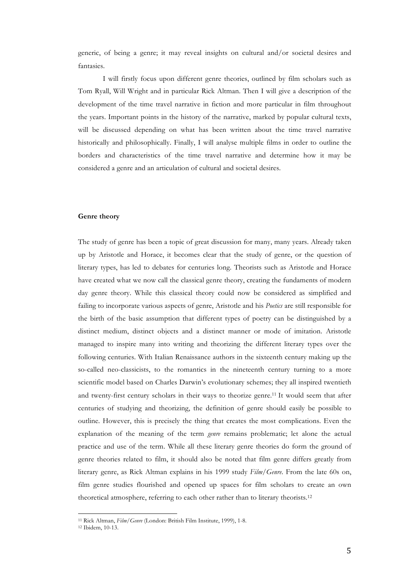generic, of being a genre; it may reveal insights on cultural and/or societal desires and fantasies.

I will firstly focus upon different genre theories, outlined by film scholars such as Tom Ryall, Will Wright and in particular Rick Altman. Then I will give a description of the development of the time travel narrative in fiction and more particular in film throughout the years. Important points in the history of the narrative, marked by popular cultural texts, will be discussed depending on what has been written about the time travel narrative historically and philosophically. Finally, I will analyse multiple films in order to outline the borders and characteristics of the time travel narrative and determine how it may be considered a genre and an articulation of cultural and societal desires.

#### **Genre theory**

The study of genre has been a topic of great discussion for many, many years. Already taken up by Aristotle and Horace, it becomes clear that the study of genre, or the question of literary types, has led to debates for centuries long. Theorists such as Aristotle and Horace have created what we now call the classical genre theory, creating the fundaments of modern day genre theory. While this classical theory could now be considered as simplified and failing to incorporate various aspects of genre, Aristotle and his *Poetics* are still responsible for the birth of the basic assumption that different types of poetry can be distinguished by a distinct medium, distinct objects and a distinct manner or mode of imitation. Aristotle managed to inspire many into writing and theorizing the different literary types over the following centuries. With Italian Renaissance authors in the sixteenth century making up the so-called neo-classicists, to the romantics in the nineteenth century turning to a more scientific model based on Charles Darwin's evolutionary schemes; they all inspired twentieth and twenty-first century scholars in their ways to theorize genre.11 It would seem that after centuries of studying and theorizing, the definition of genre should easily be possible to outline. However, this is precisely the thing that creates the most complications. Even the explanation of the meaning of the term *genre* remains problematic; let alone the actual practice and use of the term. While all these literary genre theories do form the ground of genre theories related to film, it should also be noted that film genre differs greatly from literary genre, as Rick Altman explains in his 1999 study *Film/Genre*. From the late 60s on, film genre studies flourished and opened up spaces for film scholars to create an own theoretical atmosphere, referring to each other rather than to literary theorists.12

<sup>11</sup> Rick Altman, *Film/Genre* (London: British Film Institute, 1999), 1-8.

<sup>12</sup> Ibidem, 10-13.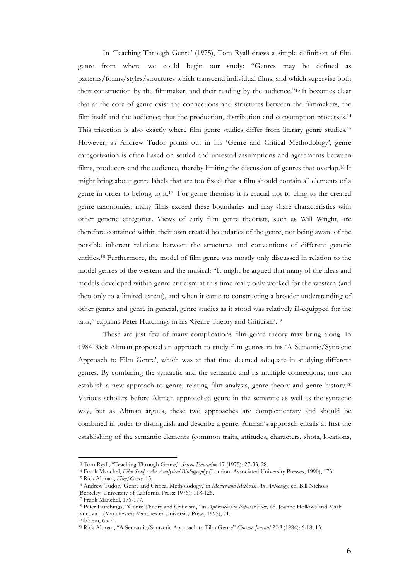In *'*Teaching Through Genre' (1975), Tom Ryall draws a simple definition of film genre from where we could begin our study: "Genres may be defined as patterns/forms/styles/structures which transcend individual films, and which supervise both their construction by the filmmaker, and their reading by the audience."13 It becomes clear that at the core of genre exist the connections and structures between the filmmakers, the film itself and the audience; thus the production, distribution and consumption processes.14 This trisection is also exactly where film genre studies differ from literary genre studies.15 However, as Andrew Tudor points out in his 'Genre and Critical Methodology', genre categorization is often based on settled and untested assumptions and agreements between films, producers and the audience, thereby limiting the discussion of genres that overlap.16 It might bring about genre labels that are too fixed: that a film should contain all elements of a genre in order to belong to it.17 For genre theorists it is crucial not to cling to the created genre taxonomies; many films exceed these boundaries and may share characteristics with other generic categories. Views of early film genre theorists, such as Will Wright, are therefore contained within their own created boundaries of the genre, not being aware of the possible inherent relations between the structures and conventions of different generic entities.18 Furthermore, the model of film genre was mostly only discussed in relation to the model genres of the western and the musical: "It might be argued that many of the ideas and models developed within genre criticism at this time really only worked for the western (and then only to a limited extent), and when it came to constructing a broader understanding of other genres and genre in general, genre studies as it stood was relatively ill-equipped for the task," explains Peter Hutchings in his 'Genre Theory and Criticism'.19

These are just few of many complications film genre theory may bring along. In 1984 Rick Altman proposed an approach to study film genres in his 'A Semantic/Syntactic Approach to Film Genre', which was at that time deemed adequate in studying different genres. By combining the syntactic and the semantic and its multiple connections, one can establish a new approach to genre, relating film analysis, genre theory and genre history.20 Various scholars before Altman approached genre in the semantic as well as the syntactic way, but as Altman argues, these two approaches are complementary and should be combined in order to distinguish and describe a genre. Altman's approach entails at first the establishing of the semantic elements (common traits, attitudes, characters, shots, locations,

<sup>13</sup> Tom Ryall, "Teaching Through Genre," *Screen Education* 17 (1975): 27-33, 28.

<sup>14</sup> Frank Manchel, *Film Study: An Analytical Bibliography* (London: Associated University Presses, 1990), 173. <sup>15</sup> Rick Altman, *Film/Genre,* 15.

<sup>16</sup> Andrew Tudor, 'Genre and Critical Metholodogy,' in *Movies and Methods: An Anthology,* ed. Bill Nichols (Berkeley: University of California Press: 1976), 118-126.

<sup>17</sup> Frank Manchel, 176-177.

<sup>18</sup> Peter Hutchings, "Genre Theory and Criticism," in *Approaches to Popular Film,* ed. Joanne Hollows and Mark Jancovich (Manchester: Manchester University Press, 1995), 71. 19Ibidem, 65-71.

<sup>20</sup> Rick Altman, "A Semantic/Syntactic Approach to Film Genre" *Cinema Journal 23:3* (1984): 6-18, 13.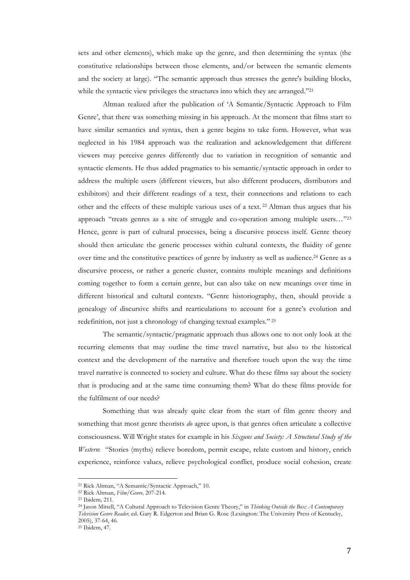sets and other elements), which make up the genre, and then determining the syntax (the constitutive relationships between those elements, and/or between the semantic elements and the society at large). "The semantic approach thus stresses the genre's building blocks, while the syntactic view privileges the structures into which they are arranged."<sup>21</sup>

Altman realized after the publication of 'A Semantic/Syntactic Approach to Film Genre', that there was something missing in his approach. At the moment that films start to have similar semantics and syntax, then a genre begins to take form. However, what was neglected in his 1984 approach was the realization and acknowledgement that different viewers may perceive genres differently due to variation in recognition of semantic and syntactic elements. He thus added pragmatics to his semantic/syntactic approach in order to address the multiple users (different viewers, but also different producers, distributors and exhibitors) and their different readings of a text, their connections and relations to each other and the effects of these multiple various uses of a text. <sup>22</sup> Altman thus argues that his approach "treats genres as a site of struggle and co-operation among multiple users…"23 Hence, genre is part of cultural processes, being a discursive process itself. Genre theory should then articulate the generic processes within cultural contexts, the fluidity of genre over time and the constitutive practices of genre by industry as well as audience.24 Genre as a discursive process, or rather a generic cluster, contains multiple meanings and definitions coming together to form a certain genre, but can also take on new meanings over time in different historical and cultural contexts. "Genre historiography, then, should provide a genealogy of discursive shifts and rearticulations to account for a genre's evolution and redefinition, not just a chronology of changing textual examples." 25

The semantic/syntactic/pragmatic approach thus allows one to not only look at the recurring elements that may outline the time travel narrative, but also to the historical context and the development of the narrative and therefore touch upon the way the time travel narrative is connected to society and culture. What do these films say about the society that is producing and at the same time consuming them? What do these films provide for the fulfilment of our needs?

Something that was already quite clear from the start of film genre theory and something that most genre theorists *do* agree upon, is that genres often articulate a collective consciousness. Will Wright states for example in his *Sixguns and Society: A Structural Study of the Western*: "Stories (myths) relieve boredom, permit escape, relate custom and history, enrich experience, reinforce values, relieve psychological conflict, produce social cohesion, create

<sup>21</sup> Rick Altman, "A Semantic/Syntactic Approach," 10.

<sup>22</sup> Rick Altman, *Film/Genre,* 207-214.

<sup>23</sup> Ibidem*,* 211.

<sup>24</sup> Jason Mittell, "A Cultural Approach to Television Genre Theory," in *Thinking Outside the Box: A Contemporary Television Genre Reader,* ed. Gary R. Edgerton and Brian G. Rose (Lexington: The University Press of Kentucky, 2005), 37-64, 46.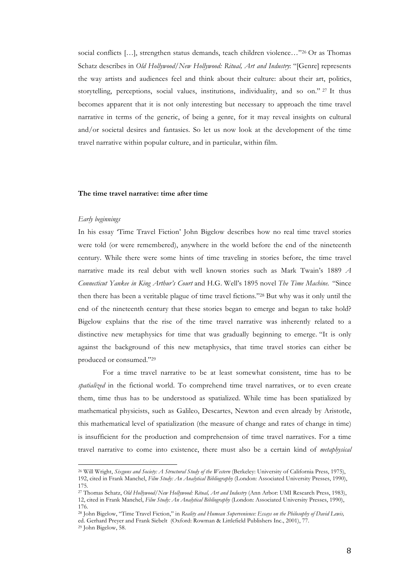social conflicts [...], strengthen status demands, teach children violence..."<sup>26</sup> Or as Thomas Schatz describes in *Old Hollywood/New Hollywood: Ritual, Art and Industry*: "[Genre] represents the way artists and audiences feel and think about their culture: about their art, politics, storytelling, perceptions, social values, institutions, individuality, and so on." <sup>27</sup> It thus becomes apparent that it is not only interesting but necessary to approach the time travel narrative in terms of the generic, of being a genre, for it may reveal insights on cultural and/or societal desires and fantasies. So let us now look at the development of the time travel narrative within popular culture, and in particular, within film.

## **The time travel narrative: time after time**

## *Early beginnings*

In his essay 'Time Travel Fiction' John Bigelow describes how no real time travel stories were told (or were remembered), anywhere in the world before the end of the nineteenth century. While there were some hints of time traveling in stories before, the time travel narrative made its real debut with well known stories such as Mark Twain's 1889 *A Connecticut Yankee in King Arthur's Court* and H.G. Well's 1895 novel *The Time Machine.* "Since then there has been a veritable plague of time travel fictions."28 But why was it only until the end of the nineteenth century that these stories began to emerge and began to take hold? Bigelow explains that the rise of the time travel narrative was inherently related to a distinctive new metaphysics for time that was gradually beginning to emerge. "It is only against the background of this new metaphysics, that time travel stories can either be produced or consumed."29

For a time travel narrative to be at least somewhat consistent, time has to be *spatialized* in the fictional world. To comprehend time travel narratives, or to even create them, time thus has to be understood as spatialized. While time has been spatialized by mathematical physicists, such as Galileo, Descartes, Newton and even already by Aristotle, this mathematical level of spatialization (the measure of change and rates of change in time) is insufficient for the production and comprehension of time travel narratives. For a time travel narrative to come into existence, there must also be a certain kind of *metaphysical* 

<sup>26</sup> Will Wright, *Sixguns and Society: A Structural Study of the Western* (Berkeley: University of California Press, 1975), 192, cited in Frank Manchel, *Film Study: An Analytical Bibliography* (London: Associated University Presses, 1990), 175.

<sup>27</sup> Thomas Schatz, *Old Hollywood/New Hollywood: Ritual, Art and Industry* (Ann Arbor: UMI Research Press, 1983), 12, cited in Frank Manchel, *Film Study: An Analytical Bibliography* (London: Associated University Presses, 1990), 176.

<sup>28</sup> John Bigelow, "Time Travel Fiction," in *Reality and Humean Supervenience: Essays on the Philosophy of David Lewis,*  ed. Gerhard Preyer and Frank Siebelt (Oxford: Rowman & Littlefield Publishers Inc., 2001), 77.

<sup>29</sup> John Bigelow, 58.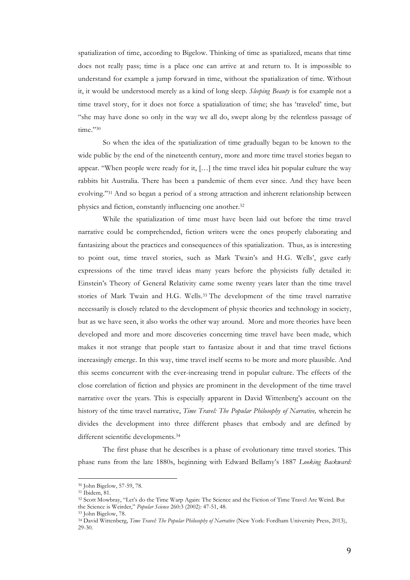spatialization of time, according to Bigelow. Thinking of time as spatialized, means that time does not really pass; time is a place one can arrive at and return to. It is impossible to understand for example a jump forward in time, without the spatialization of time. Without it, it would be understood merely as a kind of long sleep. *Sleeping Beauty* is for example not a time travel story, for it does not force a spatialization of time; she has 'traveled' time, but "she may have done so only in the way we all do, swept along by the relentless passage of time."30

So when the idea of the spatialization of time gradually began to be known to the wide public by the end of the nineteenth century, more and more time travel stories began to appear. "When people were ready for it, […] the time travel idea hit popular culture the way rabbits hit Australia. There has been a pandemic of them ever since. And they have been evolving."31 And so began a period of a strong attraction and inherent relationship between physics and fiction, constantly influencing one another.32

While the spatialization of time must have been laid out before the time travel narrative could be comprehended, fiction writers were the ones properly elaborating and fantasizing about the practices and consequences of this spatialization. Thus, as is interesting to point out, time travel stories, such as Mark Twain's and H.G. Wells', gave early expressions of the time travel ideas many years before the physicists fully detailed it: Einstein's Theory of General Relativity came some twenty years later than the time travel stories of Mark Twain and H.G. Wells.33 The development of the time travel narrative necessarily is closely related to the development of physic theories and technology in society, but as we have seen, it also works the other way around. More and more theories have been developed and more and more discoveries concerning time travel have been made, which makes it not strange that people start to fantasize about it and that time travel fictions increasingly emerge. In this way, time travel itself seems to be more and more plausible. And this seems concurrent with the ever-increasing trend in popular culture. The effects of the close correlation of fiction and physics are prominent in the development of the time travel narrative over the years. This is especially apparent in David Wittenberg's account on the history of the time travel narrative, *Time Travel: The Popular Philosophy of Narrative,* wherein he divides the development into three different phases that embody and are defined by different scientific developments.34

The first phase that he describes is a phase of evolutionary time travel stories. This phase runs from the late 1880s, beginning with Edward Bellamy's 1887 *Looking Backward:* 

<sup>30</sup> John Bigelow, 57-59, 78.

<sup>31</sup> Ibidem, 81.

<sup>32</sup> Scott Mowbray, "Let's do the Time Warp Again: The Science and the Fiction of Time Travel Are Weird. But the Science is Weirder," *Popular Science* 260:3 (2002): 47-51, 48.

<sup>33</sup> John Bigelow, 78.

<sup>34</sup> David Wittenberg, *Time Travel: The Popular Philosophy of Narrative* (New York: Fordham University Press, 2013), 29-30.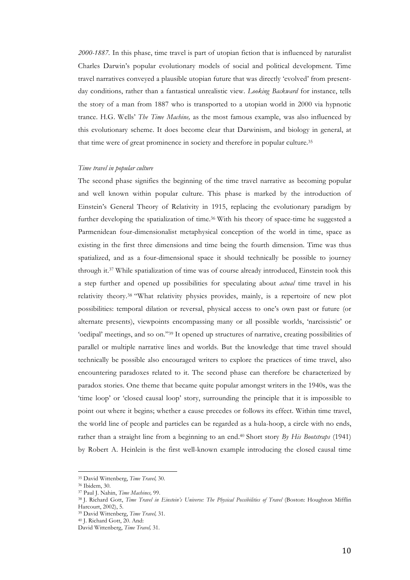*2000-1887.* In this phase, time travel is part of utopian fiction that is influenced by naturalist Charles Darwin's popular evolutionary models of social and political development. Time travel narratives conveyed a plausible utopian future that was directly 'evolved' from presentday conditions, rather than a fantastical unrealistic view. *Looking Backward* for instance, tells the story of a man from 1887 who is transported to a utopian world in 2000 via hypnotic trance. H.G. Wells' *The Time Machine,* as the most famous example, was also influenced by this evolutionary scheme. It does become clear that Darwinism, and biology in general, at that time were of great prominence in society and therefore in popular culture.35

### *Time travel in popular culture*

The second phase signifies the beginning of the time travel narrative as becoming popular and well known within popular culture. This phase is marked by the introduction of Einstein's General Theory of Relativity in 1915, replacing the evolutionary paradigm by further developing the spatialization of time.36 With his theory of space-time he suggested a Parmenidean four-dimensionalist metaphysical conception of the world in time, space as existing in the first three dimensions and time being the fourth dimension. Time was thus spatialized, and as a four-dimensional space it should technically be possible to journey through it.37 While spatialization of time was of course already introduced, Einstein took this a step further and opened up possibilities for speculating about *actual* time travel in his relativity theory.38 "What relativity physics provides, mainly, is a repertoire of new plot possibilities: temporal dilation or reversal, physical access to one's own past or future (or alternate presents), viewpoints encompassing many or all possible worlds, 'narcissistic' or 'oedipal' meetings, and so on."39 It opened up structures of narrative, creating possibilities of parallel or multiple narrative lines and worlds. But the knowledge that time travel should technically be possible also encouraged writers to explore the practices of time travel, also encountering paradoxes related to it. The second phase can therefore be characterized by paradox stories. One theme that became quite popular amongst writers in the 1940s, was the 'time loop' or 'closed causal loop' story, surrounding the principle that it is impossible to point out where it begins; whether a cause precedes or follows its effect. Within time travel, the world line of people and particles can be regarded as a hula-hoop, a circle with no ends, rather than a straight line from a beginning to an end.40 Short story *By His Bootstraps* (1941) by Robert A. Heinlein is the first well-known example introducing the closed causal time

<sup>35</sup> David Wittenberg, *Time Travel,* 30.

<sup>36</sup> Ibidem, 30.

<sup>37</sup> Paul J. Nahin, *Time Machines,* 99.

<sup>&</sup>lt;sup>38</sup> J. Richard Gott, *Time Travel in Einstein's Universe: The Physical Possibilities of Travel (Boston: Houghton Mifflin* Harcourt, 2002), 5.

<sup>39</sup> David Wittenberg, *Time Travel,* 31. <sup>40</sup> J. Richard Gott, 20. And:

David Wittenberg, *Time Travel,* 31.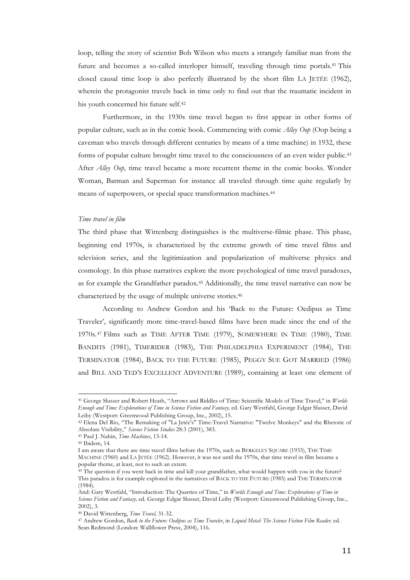loop, telling the story of scientist Bob Wilson who meets a strangely familiar man from the future and becomes a so-called interloper himself, traveling through time portals.41 This closed causal time loop is also perfectly illustrated by the short film LA JETÉE (1962), wherein the protagonist travels back in time only to find out that the traumatic incident in his youth concerned his future self.42

Furthermore, in the 1930s time travel began to first appear in other forms of popular culture, such as in the comic book. Commencing with comic *Alley Oop* (Oop being a caveman who travels through different centuries by means of a time machine) in 1932, these forms of popular culture brought time travel to the consciousness of an even wider public.43 After *Alley Oop,* time travel became a more recurrent theme in the comic books. Wonder Woman, Batman and Superman for instance all traveled through time quite regularly by means of superpowers, or special space transformation machines.44

## *Time travel in film*

The third phase that Wittenberg distinguishes is the multiverse-filmic phase. This phase, beginning end 1970s, is characterized by the extreme growth of time travel films and television series, and the legitimization and popularization of multiverse physics and cosmology. In this phase narratives explore the more psychological of time travel paradoxes, as for example the Grandfather paradox.45 Additionally, the time travel narrative can now be characterized by the usage of multiple universe stories.46

According to Andrew Gordon and his 'Back to the Future: Oedipus as Time Traveler', significantly more time-travel-based films have been made since the end of the 1970s.47 Films such as TIME AFTER TIME (1979), SOMEWHERE IN TIME (1980), TIME BANDITS (1981), TIMERIDER (1983), THE PHILADELPHIA EXPERIMENT (1984), THE TERMINATOR (1984), BACK TO THE FUTURE (1985), PEGGY SUE GOT MARRIED (1986) and BILL AND TED'S EXCELLENT ADVENTURE (1989), containing at least one element of

<sup>41</sup> George Slusser and Robert Heath, "Arrows and Riddles of Time: Scientific Models of Time Travel," in *Worlds Enough and Time: Explorations of Time in Science Fiction and Fantasy,* ed. Gary Westfahl, George Edgar Slusser, David Leiby (Westport: Greenwood Publishing Group, Inc., 2002), 15.

<sup>42</sup> Elena Del Rio, "The Remaking of "La Jetée's" Time-Travel Narrative: "Twelve Monkeys" and the Rhetoric of Absolute Visibility," *Science Fiction Studies* 28:3 (2001), 383.

<sup>43</sup> Paul J. Nahin, *Time Machines*, 13-14.

 $44$  Ibidem,  $14$ .

I am aware that there are time travel films before the 1970s, such as BERKELEY SQUARE (1933), THE TIME MACHINE (1960) and LA JETÉE (1962). However, it was not until the 1970s, that time travel in film became a popular theme, at least, not to such an extent.

<sup>&</sup>lt;sup>45</sup> The question if you went back in time and kill your grandfather, what would happen with you in the future? This paradox is for example explored in the narratives of BACK TO THE FUTURE (1985) and THE TERMINATOR  $(1984)$ .

And: Gary Westfahl, "Introduction: The Quarries of Time," in *Worlds Enough and Time: Explorations of Time in Science Fiction and Fantasy,* ed. George Edgar Slusser, David Leiby (Westport: Greenwood Publishing Group, Inc., 2002), 3.

<sup>46</sup> David Wittenberg, *Time Travel,* 31-32.

<sup>47</sup> Andrew Gordon, *Back to the Future: Oedipus as Time Traveler*, in *Liquid Metal: The Science Fiction Film Reader,* ed. Sean Redmond (London: Wallflower Press, 2004), 116.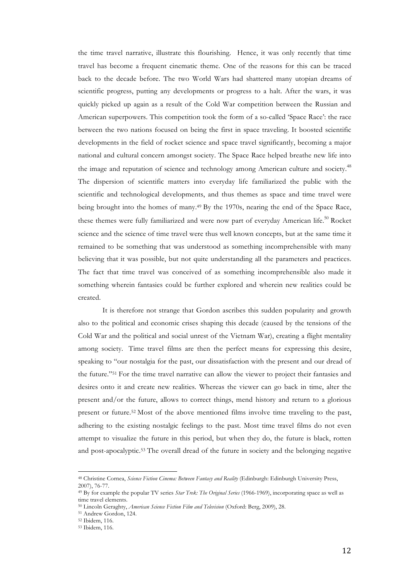the time travel narrative, illustrate this flourishing. Hence, it was only recently that time travel has become a frequent cinematic theme. One of the reasons for this can be traced back to the decade before. The two World Wars had shattered many utopian dreams of scientific progress, putting any developments or progress to a halt. After the wars, it was quickly picked up again as a result of the Cold War competition between the Russian and American superpowers. This competition took the form of a so-called 'Space Race': the race between the two nations focused on being the first in space traveling. It boosted scientific developments in the field of rocket science and space travel significantly, becoming a major national and cultural concern amongst society. The Space Race helped breathe new life into the image and reputation of science and technology among American culture and society.<sup>48</sup> The dispersion of scientific matters into everyday life familiarized the public with the scientific and technological developments, and thus themes as space and time travel were being brought into the homes of many.49 By the 1970s, nearing the end of the Space Race, these themes were fully familiarized and were now part of everyday American life.<sup>50</sup> Rocket science and the science of time travel were thus well known concepts, but at the same time it remained to be something that was understood as something incomprehensible with many believing that it was possible, but not quite understanding all the parameters and practices. The fact that time travel was conceived of as something incomprehensible also made it something wherein fantasies could be further explored and wherein new realities could be created.

It is therefore not strange that Gordon ascribes this sudden popularity and growth also to the political and economic crises shaping this decade (caused by the tensions of the Cold War and the political and social unrest of the Vietnam War), creating a flight mentality among society. Time travel films are then the perfect means for expressing this desire, speaking to "our nostalgia for the past, our dissatisfaction with the present and our dread of the future."51 For the time travel narrative can allow the viewer to project their fantasies and desires onto it and create new realities. Whereas the viewer can go back in time, alter the present and/or the future, allows to correct things, mend history and return to a glorious present or future.52 Most of the above mentioned films involve time traveling to the past, adhering to the existing nostalgic feelings to the past. Most time travel films do not even attempt to visualize the future in this period, but when they do, the future is black, rotten and post-apocalyptic.53 The overall dread of the future in society and the belonging negative

<sup>48</sup> Christine Cornea, *Science Fiction Cinema: Between Fantasy and Reality* (Edinburgh: Edinburgh University Press, 2007), 76-77.

<sup>49</sup> By for example the popular TV series *Star Trek: The Original Series* (1966-1969), incorporating space as well as time travel elements.

<sup>50</sup> Lincoln Geraghty, *American Science Fiction Film and Television* (Oxford: Berg, 2009), 28.

<sup>51</sup> Andrew Gordon, 124.

<sup>52</sup> Ibidem, 116.

<sup>53</sup> Ibidem, 116.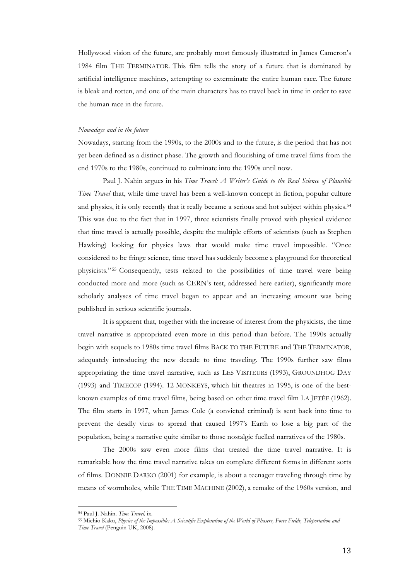Hollywood vision of the future, are probably most famously illustrated in James Cameron's 1984 film THE TERMINATOR. This film tells the story of a future that is dominated by artificial intelligence machines, attempting to exterminate the entire human race. The future is bleak and rotten, and one of the main characters has to travel back in time in order to save the human race in the future.

### *Nowadays and in the future*

Nowadays, starting from the 1990s, to the 2000s and to the future, is the period that has not yet been defined as a distinct phase. The growth and flourishing of time travel films from the end 1970s to the 1980s, continued to culminate into the 1990s until now.

Paul J. Nahin argues in his *Time Travel: A Writer's Guide to the Real Science of Plausible Time Travel* that, while time travel has been a well-known concept in fiction, popular culture and physics, it is only recently that it really became a serious and hot subject within physics.<sup>54</sup> This was due to the fact that in 1997, three scientists finally proved with physical evidence that time travel is actually possible, despite the multiple efforts of scientists (such as Stephen Hawking) looking for physics laws that would make time travel impossible. "Once considered to be fringe science, time travel has suddenly become a playground for theoretical physicists." <sup>55</sup> Consequently, tests related to the possibilities of time travel were being conducted more and more (such as CERN's test, addressed here earlier), significantly more scholarly analyses of time travel began to appear and an increasing amount was being published in serious scientific journals.

It is apparent that, together with the increase of interest from the physicists, the time travel narrative is appropriated even more in this period than before. The 1990s actually begin with sequels to 1980s time travel films BACK TO THE FUTURE and THE TERMINATOR, adequately introducing the new decade to time traveling. The 1990s further saw films appropriating the time travel narrative, such as LES VISITEURS (1993), GROUNDHOG DAY (1993) and TIMECOP (1994). 12 MONKEYS, which hit theatres in 1995, is one of the bestknown examples of time travel films, being based on other time travel film LA JETÉE (1962). The film starts in 1997, when James Cole (a convicted criminal) is sent back into time to prevent the deadly virus to spread that caused 1997's Earth to lose a big part of the population, being a narrative quite similar to those nostalgic fuelled narratives of the 1980s.

The 2000s saw even more films that treated the time travel narrative. It is remarkable how the time travel narrative takes on complete different forms in different sorts of films. DONNIE DARKO (2001) for example, is about a teenager traveling through time by means of wormholes, while THE TIME MACHINE (2002), a remake of the 1960s version, and

<sup>54</sup> Paul J. Nahin. *Time Travel,* ix.

<sup>55</sup> Michio Kaku, *Physics of the Impossible: A Scientific Exploration of the World of Phasers, Force Fields, Teleportation and Time Travel* (Penguin UK, 2008).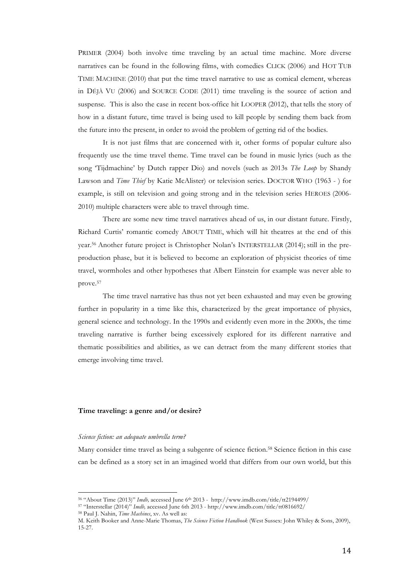PRIMER (2004) both involve time traveling by an actual time machine. More diverse narratives can be found in the following films, with comedies CLICK (2006) and HOT TUB TIME MACHINE (2010) that put the time travel narrative to use as comical element, whereas in DÉJÀ VU (2006) and SOURCE CODE (2011) time traveling is the source of action and suspense. This is also the case in recent box-office hit LOOPER (2012), that tells the story of how in a distant future, time travel is being used to kill people by sending them back from the future into the present, in order to avoid the problem of getting rid of the bodies.

It is not just films that are concerned with it, other forms of popular culture also frequently use the time travel theme. Time travel can be found in music lyrics (such as the song 'Tijdmachine' by Dutch rapper Dio) and novels (such as 2013s *The Loop* by Shandy Lawson and *Time Thief* by Katie McAlister) or television series. DOCTOR WHO (1963 - ) for example, is still on television and going strong and in the television series HEROES (2006- 2010) multiple characters were able to travel through time.

There are some new time travel narratives ahead of us, in our distant future. Firstly, Richard Curtis' romantic comedy ABOUT TIME, which will hit theatres at the end of this year. <sup>56</sup> Another future project is Christopher Nolan's INTERSTELLAR (2014); still in the preproduction phase, but it is believed to become an exploration of physicist theories of time travel, wormholes and other hypotheses that Albert Einstein for example was never able to prove.57

The time travel narrative has thus not yet been exhausted and may even be growing further in popularity in a time like this, characterized by the great importance of physics, general science and technology. In the 1990s and evidently even more in the 2000s, the time traveling narrative is further being excessively explored for its different narrative and thematic possibilities and abilities, as we can detract from the many different stories that emerge involving time travel.

## **Time traveling: a genre and/or desire?**

#### *Science fiction: an adequate umbrella term?*

 

Many consider time travel as being a subgenre of science fiction.<sup>58</sup> Science fiction in this case can be defined as a story set in an imagined world that differs from our own world, but this

<sup>56</sup> "About Time (2013)" *Imdb,* accessed June 6th 2013 -http://www.imdb.com/title/tt2194499/

<sup>57</sup> "Interstellar (2014)" *Imdb,* accessed June 6th 2013 - http://www.imdb.com/title/tt0816692/ <sup>58</sup> Paul J. Nahin, *Time Machines*, xv. As well as:

M. Keith Booker and Anne-Marie Thomas, *The Science Fiction Handbook* (West Sussex: John Whiley & Sons, 2009), 15-27.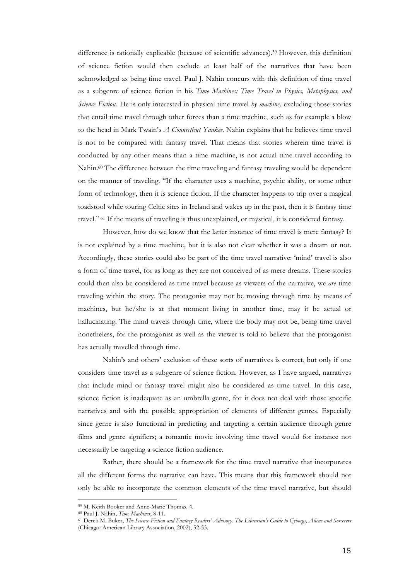difference is rationally explicable (because of scientific advances).59 However, this definition of science fiction would then exclude at least half of the narratives that have been acknowledged as being time travel. Paul J. Nahin concurs with this definition of time travel as a subgenre of science fiction in his *Time Machines: Time Travel in Physics, Metaphysics, and Science Fiction.* He is only interested in physical time travel *by machine,* excluding those stories that entail time travel through other forces than a time machine, such as for example a blow to the head in Mark Twain's *A Connecticut Yankee*. Nahin explains that he believes time travel is not to be compared with fantasy travel. That means that stories wherein time travel is conducted by any other means than a time machine, is not actual time travel according to Nahin. <sup>60</sup> The difference between the time traveling and fantasy traveling would be dependent on the manner of traveling. "If the character uses a machine, psychic ability, or some other form of technology, then it is science fiction. If the character happens to trip over a magical toadstool while touring Celtic sites in Ireland and wakes up in the past, then it is fantasy time travel." <sup>61</sup> If the means of traveling is thus unexplained, or mystical, it is considered fantasy.

However, how do we know that the latter instance of time travel is mere fantasy? It is not explained by a time machine, but it is also not clear whether it was a dream or not. Accordingly, these stories could also be part of the time travel narrative: 'mind' travel is also a form of time travel, for as long as they are not conceived of as mere dreams. These stories could then also be considered as time travel because as viewers of the narrative, we *are* time traveling within the story. The protagonist may not be moving through time by means of machines, but he/she is at that moment living in another time, may it be actual or hallucinating. The mind travels through time, where the body may not be, being time travel nonetheless, for the protagonist as well as the viewer is told to believe that the protagonist has actually travelled through time.

Nahin's and others' exclusion of these sorts of narratives is correct, but only if one considers time travel as a subgenre of science fiction. However, as I have argued, narratives that include mind or fantasy travel might also be considered as time travel. In this case, science fiction is inadequate as an umbrella genre, for it does not deal with those specific narratives and with the possible appropriation of elements of different genres. Especially since genre is also functional in predicting and targeting a certain audience through genre films and genre signifiers; a romantic movie involving time travel would for instance not necessarily be targeting a science fiction audience.

Rather, there should be a framework for the time travel narrative that incorporates all the different forms the narrative can have. This means that this framework should not only be able to incorporate the common elements of the time travel narrative, but should

<sup>59</sup> M. Keith Booker and Anne-Marie Thomas*,* 4.

<sup>60</sup> Paul J. Nahin, *Time Machines*, 8-11.

<sup>61</sup> Derek M. Buker, *The Science Fiction and Fantasy Readers' Advisory: The Librarian's Guide to Cyborgs, Aliens and Sorcerers*  (Chicago: American Library Association, 2002), 52-53.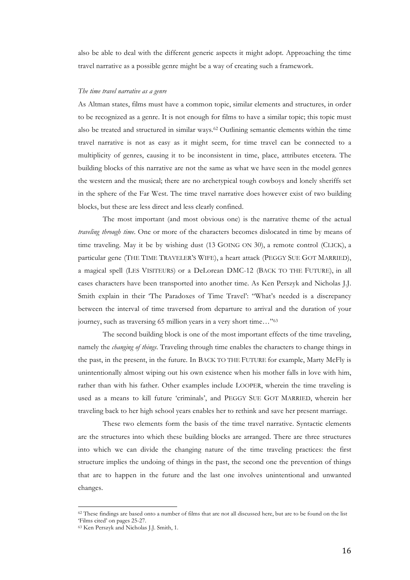also be able to deal with the different generic aspects it might adopt. Approaching the time travel narrative as a possible genre might be a way of creating such a framework.

## *The time travel narrative as a genre*

As Altman states, films must have a common topic, similar elements and structures, in order to be recognized as a genre. It is not enough for films to have a similar topic; this topic must also be treated and structured in similar ways.62 Outlining semantic elements within the time travel narrative is not as easy as it might seem, for time travel can be connected to a multiplicity of genres, causing it to be inconsistent in time, place, attributes etcetera. The building blocks of this narrative are not the same as what we have seen in the model genres the western and the musical; there are no archetypical tough cowboys and lonely sheriffs set in the sphere of the Far West. The time travel narrative does however exist of two building blocks, but these are less direct and less clearly confined.

The most important (and most obvious one) is the narrative theme of the actual *traveling through time*. One or more of the characters becomes dislocated in time by means of time traveling. May it be by wishing dust (13 GOING ON 30), a remote control (CLICK), a particular gene (THE TIME TRAVELER'S WIFE), a heart attack (PEGGY SUE GOT MARRIED), a magical spell (LES VISITEURS) or a DeLorean DMC-12 (BACK TO THE FUTURE), in all cases characters have been transported into another time. As Ken Perszyk and Nicholas J.J. Smith explain in their 'The Paradoxes of Time Travel': "What's needed is a discrepancy between the interval of time traversed from departure to arrival and the duration of your journey, such as traversing 65 million years in a very short time…"63

The second building block is one of the most important effects of the time traveling, namely the *changing of things*. Traveling through time enables the characters to change things in the past, in the present, in the future. In BACK TO THE FUTURE for example, Marty McFly is unintentionally almost wiping out his own existence when his mother falls in love with him, rather than with his father. Other examples include LOOPER, wherein the time traveling is used as a means to kill future 'criminals', and PEGGY SUE GOT MARRIED, wherein her traveling back to her high school years enables her to rethink and save her present marriage.

These two elements form the basis of the time travel narrative. Syntactic elements are the structures into which these building blocks are arranged. There are three structures into which we can divide the changing nature of the time traveling practices: the first structure implies the undoing of things in the past, the second one the prevention of things that are to happen in the future and the last one involves unintentional and unwanted changes.

<sup>62</sup> These findings are based onto a number of films that are not all discussed here, but are to be found on the list 'Films cited' on pages 25-27.

<sup>63</sup> Ken Perszyk and Nicholas J.J. Smith, 1.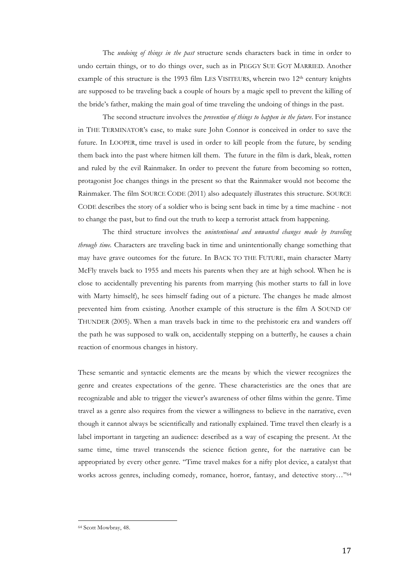The *undoing of things in the past* structure sends characters back in time in order to undo certain things, or to do things over, such as in PEGGY SUE GOT MARRIED. Another example of this structure is the 1993 film LES VISITEURS, wherein two 12<sup>th</sup> century knights are supposed to be traveling back a couple of hours by a magic spell to prevent the killing of the bride's father, making the main goal of time traveling the undoing of things in the past.

The second structure involves the *prevention of things to happen in the future*. For instance in THE TERMINATOR's case, to make sure John Connor is conceived in order to save the future. In LOOPER, time travel is used in order to kill people from the future, by sending them back into the past where hitmen kill them. The future in the film is dark, bleak, rotten and ruled by the evil Rainmaker. In order to prevent the future from becoming so rotten, protagonist Joe changes things in the present so that the Rainmaker would not become the Rainmaker. The film SOURCE CODE (2011) also adequately illustrates this structure. SOURCE CODE describes the story of a soldier who is being sent back in time by a time machine - not to change the past, but to find out the truth to keep a terrorist attack from happening.

The third structure involves the *unintentional and unwanted changes made by traveling through time.* Characters are traveling back in time and unintentionally change something that may have grave outcomes for the future. In BACK TO THE FUTURE, main character Marty McFly travels back to 1955 and meets his parents when they are at high school. When he is close to accidentally preventing his parents from marrying (his mother starts to fall in love with Marty himself), he sees himself fading out of a picture. The changes he made almost prevented him from existing. Another example of this structure is the film A SOUND OF THUNDER (2005). When a man travels back in time to the prehistoric era and wanders off the path he was supposed to walk on, accidentally stepping on a butterfly, he causes a chain reaction of enormous changes in history.

These semantic and syntactic elements are the means by which the viewer recognizes the genre and creates expectations of the genre. These characteristics are the ones that are recognizable and able to trigger the viewer's awareness of other films within the genre. Time travel as a genre also requires from the viewer a willingness to believe in the narrative, even though it cannot always be scientifically and rationally explained. Time travel then clearly is a label important in targeting an audience: described as a way of escaping the present. At the same time, time travel transcends the science fiction genre, for the narrative can be appropriated by every other genre. "Time travel makes for a nifty plot device, a catalyst that works across genres, including comedy, romance, horror, fantasy, and detective story…"64

<sup>64</sup> Scott Mowbray, 48.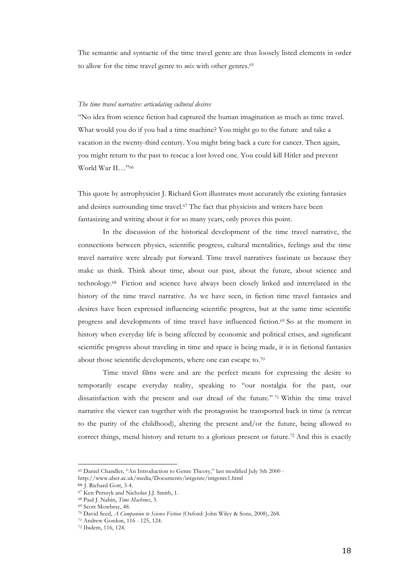The semantic and syntactic of the time travel genre are thus loosely listed elements in order to allow for the time travel genre to *mix* with other genres.65

## *The time travel narrative: articulating cultural desires*

"No idea from science fiction had captured the human imagination as much as time travel. What would you do if you had a time machine? You might go to the future and take a vacation in the twenty-third century. You might bring back a cure for cancer. Then again, you might return to the past to rescue a lost loved one. You could kill Hitler and prevent World War II…"66

This quote by astrophysicist J. Richard Gott illustrates most accurately the existing fantasies and desires surrounding time travel.67 The fact that physicists and writers have been fantasizing and writing about it for so many years, only proves this point.

In the discussion of the historical development of the time travel narrative, the connections between physics, scientific progress, cultural mentalities, feelings and the time travel narrative were already put forward. Time travel narratives fascinate us because they make us think. Think about time, about our past, about the future, about science and technology.68 Fiction and science have always been closely linked and interrelated in the history of the time travel narrative. As we have seen, in fiction time travel fantasies and desires have been expressed influencing scientific progress, but at the same time scientific progress and developments of time travel have influenced fiction.69 So at the moment in history when everyday life is being affected by economic and political crises, and significant scientific progress about traveling in time and space is being made, it is in fictional fantasies about those scientific developments, where one can escape to.70

Time travel films were and are the perfect means for expressing the desire to temporarily escape everyday reality, speaking to "our nostalgia for the past, our dissatisfaction with the present and our dread of the future." <sup>71</sup> Within the time travel narrative the viewer can together with the protagonist be transported back in time (a retreat to the purity of the childhood), altering the present and/or the future, being allowed to correct things, mend history and return to a glorious present or future.72 And this is exactly

<sup>65</sup> Daniel Chandler, "An Introduction to Genre Theory," last modified July 5th 2000 -

http://www.aber.ac.uk/media/Documents/intgenre/intgenre1.html

<sup>66</sup> J. Richard Gott, 3-4.

<sup>67</sup> Ken Perszyk and Nicholas J.J. Smith, 1.

<sup>68</sup> Paul J. Nahin, *Time Machines*, 3.

<sup>69</sup> Scott Mowbray, 48.

<sup>70</sup> David Seed, *A Companion to Science Fiction* (Oxford: John Wiley & Sons, 2008), 268.

<sup>71</sup> Andrew Gordon, 116 - 125, 124.

<sup>72</sup> Ibidem, 116, 124.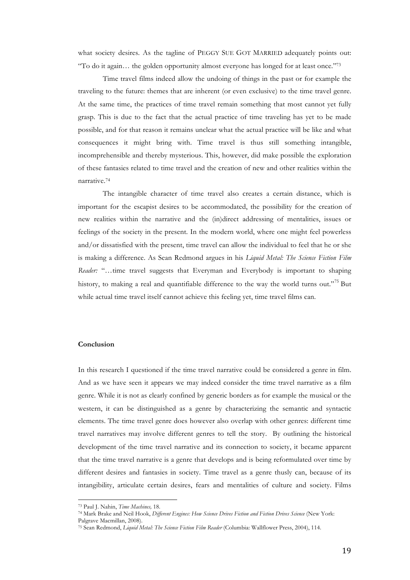what society desires. As the tagline of PEGGY SUE GOT MARRIED adequately points out: "To do it again… the golden opportunity almost everyone has longed for at least once."73

Time travel films indeed allow the undoing of things in the past or for example the traveling to the future: themes that are inherent (or even exclusive) to the time travel genre. At the same time, the practices of time travel remain something that most cannot yet fully grasp. This is due to the fact that the actual practice of time traveling has yet to be made possible, and for that reason it remains unclear what the actual practice will be like and what consequences it might bring with. Time travel is thus still something intangible, incomprehensible and thereby mysterious. This, however, did make possible the exploration of these fantasies related to time travel and the creation of new and other realities within the narrative.74

The intangible character of time travel also creates a certain distance, which is important for the escapist desires to be accommodated, the possibility for the creation of new realities within the narrative and the (in)direct addressing of mentalities, issues or feelings of the society in the present. In the modern world, where one might feel powerless and/or dissatisfied with the present, time travel can allow the individual to feel that he or she is making a difference. As Sean Redmond argues in his *Liquid Metal: The Science Fiction Film Reader:* "…time travel suggests that Everyman and Everybody is important to shaping history, to making a real and quantifiable difference to the way the world turns out."<sup>75</sup> But while actual time travel itself cannot achieve this feeling yet, time travel films can.

## **Conclusion**

In this research I questioned if the time travel narrative could be considered a genre in film. And as we have seen it appears we may indeed consider the time travel narrative as a film genre. While it is not as clearly confined by generic borders as for example the musical or the western, it can be distinguished as a genre by characterizing the semantic and syntactic elements. The time travel genre does however also overlap with other genres: different time travel narratives may involve different genres to tell the story. By outlining the historical development of the time travel narrative and its connection to society, it became apparent that the time travel narrative is a genre that develops and is being reformulated over time by different desires and fantasies in society. Time travel as a genre thusly can, because of its intangibility, articulate certain desires, fears and mentalities of culture and society. Films

<sup>73</sup> Paul J. Nahin, *Time Machines,* 18.

<sup>74</sup> Mark Brake and Neil Hook, *Different Engines: How Science Drives Fiction and Fiction Drives Science* (New York:

Palgrave Macmillan, 2008).

<sup>75</sup> Sean Redmond, *Liquid Metal: The Science Fiction Film Reader* (Columbia: Wallflower Press, 2004), 114.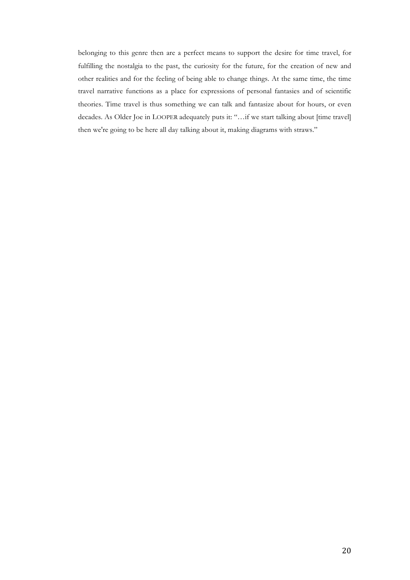belonging to this genre then are a perfect means to support the desire for time travel, for fulfilling the nostalgia to the past, the curiosity for the future, for the creation of new and other realities and for the feeling of being able to change things. At the same time, the time travel narrative functions as a place for expressions of personal fantasies and of scientific theories. Time travel is thus something we can talk and fantasize about for hours, or even decades. As Older Joe in LOOPER adequately puts it: "…if we start talking about [time travel] then we're going to be here all day talking about it, making diagrams with straws."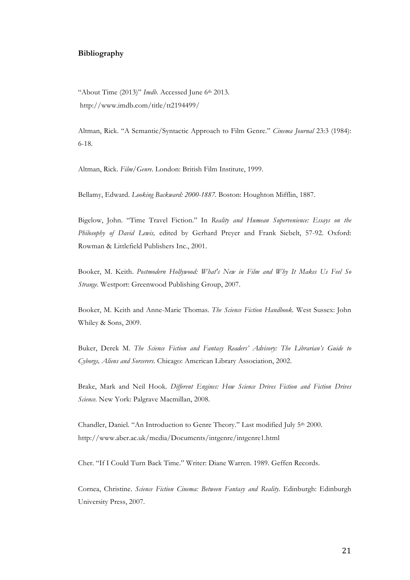## **Bibliography**

"About Time (2013)" *Imdb*. Accessed June 6<sup>th</sup> 2013. http://www.imdb.com/title/tt2194499/

Altman, Rick. "A Semantic/Syntactic Approach to Film Genre." *Cinema Journal* 23:3 (1984): 6-18.

Altman, Rick. *Film/Genre*. London: British Film Institute, 1999.

Bellamy, Edward. *Looking Backward: 2000-1887.* Boston: Houghton Mifflin, 1887.

Bigelow, John. "Time Travel Fiction." In *Reality and Humean Supervenience: Essays on the Philosophy of David Lewis,* edited by Gerhard Preyer and Frank Siebelt, 57-92. Oxford: Rowman & Littlefield Publishers Inc., 2001.

Booker, M. Keith. *Postmodern Hollywood: What's New in Film and Why It Makes Us Feel So Strange*. Westport: Greenwood Publishing Group, 2007.

Booker, M. Keith and Anne-Marie Thomas. *The Science Fiction Handbook.* West Sussex: John Whiley & Sons, 2009.

Buker, Derek M. *The Science Fiction and Fantasy Readers' Advisory: The Librarian's Guide to Cyborgs, Aliens and Sorcerers.* Chicago: American Library Association, 2002.

Brake, Mark and Neil Hook. *Different Engines: How Science Drives Fiction and Fiction Drives Science.* New York: Palgrave Macmillan, 2008.

Chandler, Daniel. "An Introduction to Genre Theory." Last modified July 5th 2000. http://www.aber.ac.uk/media/Documents/intgenre/intgenre1.html

Cher. "If I Could Turn Back Time." Writer: Diane Warren. 1989. Geffen Records.

Cornea, Christine. *Science Fiction Cinema: Between Fantasy and Reality*. Edinburgh: Edinburgh University Press, 2007.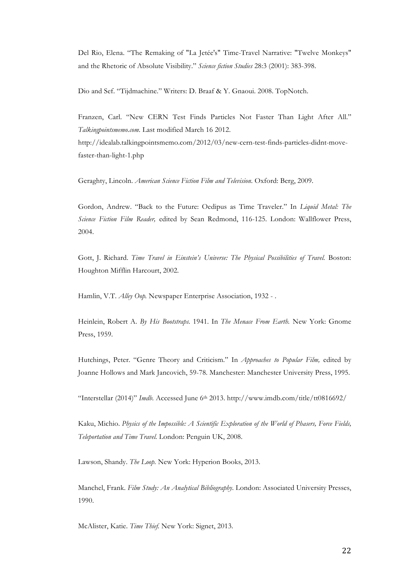Del Rio, Elena. "The Remaking of "La Jetée's" Time-Travel Narrative: "Twelve Monkeys" and the Rhetoric of Absolute Visibility." *Science fiction Studies* 28:3 (2001): 383-398.

Dio and Sef. "Tijdmachine." Writers: D. Braaf & Y. Gnaoui. 2008. TopNotch.

Franzen, Carl. "New CERN Test Finds Particles Not Faster Than Light After All." *Talkingpointsmemo.com.* Last modified March 16 2012. http://idealab.talkingpointsmemo.com/2012/03/new-cern-test-finds-particles-didnt-movefaster-than-light-1.php

Geraghty, Lincoln. *American Science Fiction Film and Television*. Oxford: Berg, 2009.

Gordon, Andrew. "Back to the Future: Oedipus as Time Traveler." In *Liquid Metal: The Science Fiction Film Reader,* edited by Sean Redmond, 116-125. London: Wallflower Press, 2004.

Gott, J. Richard. *Time Travel in Einstein's Universe: The Physical Possibilities of Travel.* Boston: Houghton Mifflin Harcourt, 2002.

Hamlin, V.T. *Alley Oop.* Newspaper Enterprise Association, 1932 - .

Heinlein, Robert A. *By His Bootstraps.* 1941. In *The Menace From Earth.* New York: Gnome Press, 1959.

Hutchings, Peter. "Genre Theory and Criticism." In *Approaches to Popular Film,* edited by Joanne Hollows and Mark Jancovich, 59-78. Manchester: Manchester University Press, 1995.

"Interstellar (2014)" *Imdb.* Accessed June 6<sup>th</sup> 2013. http://www.imdb.com/title/tt0816692/

Kaku, Michio. *Physics of the Impossible: A Scientific Exploration of the World of Phasers, Force Fields, Teleportation and Time Travel.* London: Penguin UK, 2008.

Lawson, Shandy. *The Loop.* New York: Hyperion Books, 2013.

Manchel, Frank. *Film Study: An Analytical Bibliography*. London: Associated University Presses, 1990.

McAlister, Katie. *Time Thief.* New York: Signet, 2013.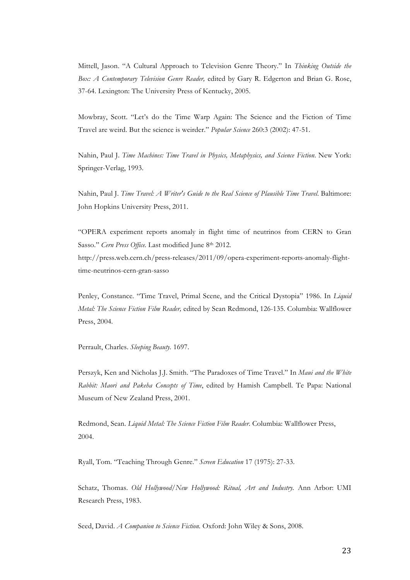Mittell, Jason. "A Cultural Approach to Television Genre Theory." In *Thinking Outside the Box: A Contemporary Television Genre Reader,* edited by Gary R. Edgerton and Brian G. Rose, 37-64. Lexington: The University Press of Kentucky, 2005.

Mowbray, Scott. "Let's do the Time Warp Again: The Science and the Fiction of Time Travel are weird. But the science is weirder." *Popular Science* 260:3 (2002): 47-51.

Nahin, Paul J. *Time Machines: Time Travel in Physics, Metaphysics, and Science Fiction*. New York: Springer-Verlag, 1993.

Nahin, Paul J. *Time Travel: A Writer's Guide to the Real Science of Plausible Time Travel*. Baltimore: John Hopkins University Press, 2011.

"OPERA experiment reports anomaly in flight time of neutrinos from CERN to Gran Sasso." *Cern Press Office*. Last modified June 8<sup>th</sup> 2012. http://press.web.cern.ch/press-releases/2011/09/opera-experiment-reports-anomaly-flighttime-neutrinos-cern-gran-sasso

Penley, Constance. "Time Travel, Primal Scene, and the Critical Dystopia" 1986. In *Liquid Metal: The Science Fiction Film Reader,* edited by Sean Redmond, 126-135. Columbia: Wallflower Press, 2004.

Perrault, Charles. *Sleeping Beauty.* 1697.

Perszyk, Ken and Nicholas J.J. Smith. "The Paradoxes of Time Travel." In *Maui and the White Rabbit: Maori and Pakeha Concepts of Time*, edited by Hamish Campbell. Te Papa: National Museum of New Zealand Press, 2001.

Redmond, Sean. *Liquid Metal: The Science Fiction Film Reader*. Columbia: Wallflower Press, 2004.

Ryall, Tom. "Teaching Through Genre." *Screen Education* 17 (1975): 27-33.

Schatz, Thomas. *Old Hollywood/New Hollywood: Ritual, Art and Industry.* Ann Arbor: UMI Research Press, 1983.

Seed, David. *A Companion to Science Fiction*. Oxford: John Wiley & Sons, 2008.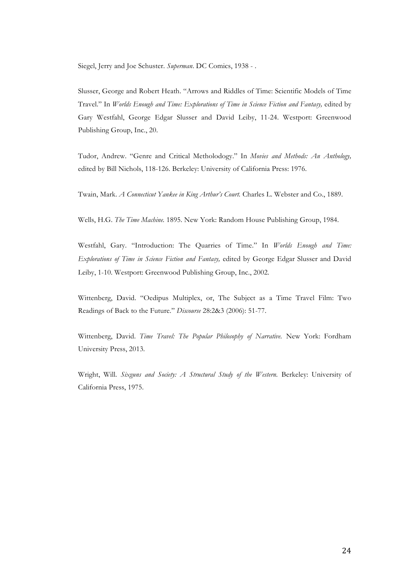Siegel, Jerry and Joe Schuster. *Superman*. DC Comics, 1938 - .

Slusser, George and Robert Heath. "Arrows and Riddles of Time: Scientific Models of Time Travel." In *Worlds Enough and Time: Explorations of Time in Science Fiction and Fantasy,* edited by Gary Westfahl, George Edgar Slusser and David Leiby, 11-24. Westport: Greenwood Publishing Group, Inc., 20.

Tudor, Andrew. "Genre and Critical Metholodogy." In *Movies and Methods: An Anthology,*  edited by Bill Nichols, 118-126. Berkeley: University of California Press: 1976.

Twain, Mark. *A Connecticut Yankee in King Arthur's Court.* Charles L. Webster and Co., 1889.

Wells, H.G. *The Time Machine.* 1895. New York: Random House Publishing Group, 1984.

Westfahl, Gary. "Introduction: The Quarries of Time." In *Worlds Enough and Time: Explorations of Time in Science Fiction and Fantasy,* edited by George Edgar Slusser and David Leiby, 1-10. Westport: Greenwood Publishing Group, Inc., 2002.

Wittenberg, David. "Oedipus Multiplex, or, The Subject as a Time Travel Film: Two Readings of Back to the Future." *Discourse* 28:2&3 (2006): 51-77.

Wittenberg, David. *Time Travel: The Popular Philosophy of Narrative.* New York: Fordham University Press, 2013.

Wright, Will. *Sixguns and Society: A Structural Study of the Western*. Berkeley: University of California Press, 1975.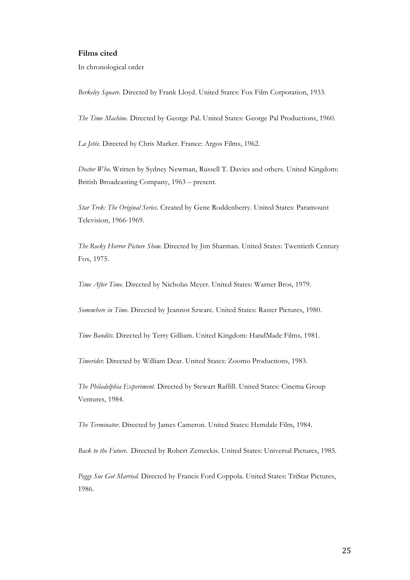## **Films cited**

In chronological order

*Berkeley Square.* Directed by Frank Lloyd. United States: Fox Film Corporation, 1933.

*The Time Machine.* Directed by George Pal. United States: George Pal Productions, 1960.

*La Jetée*. Directed by Chris Marker. France: Argos Films, 1962.

*Doctor Who*. Written by Sydney Newman, Russell T. Davies and others. United Kingdom: British Broadcasting Company, 1963 – present.

*Star Trek: The Original Series.* Created by Gene Roddenberry. United States: Paramount Television, 1966-1969.

*The Rocky Horror Picture Show*. Directed by Jim Sharman. United States: Twentieth Century Fox, 1975.

*Time After Time.* Directed by Nicholas Meyer. United States: Warner Bros, 1979.

*Somewhere in Time.* Directed by Jeannot Szwarc. United States: Raster Pictures, 1980.

*Time Bandits.* Directed by Terry Gilliam. United Kingdom: HandMade Films*,* 1981.

*Timerider.* Directed by William Dear. United States: Zoomo Productions, 1983.

*The Philadelphia Experiment.* Directed by Stewart Raffill. United States: Cinema Group Ventures, 1984.

*The Terminator*. Directed by James Cameron. United States: Hemdale Film, 1984.

*Back to the Future*. Directed by Robert Zemeckis. United States: Universal Pictures, 1985.

*Peggy Sue Got Married.* Directed by Francis Ford Coppola. United States: TriStar Pictures, 1986.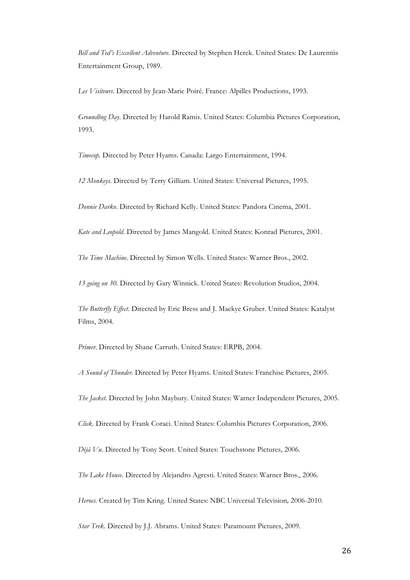*Bill and Ted's Excellent Adventure.* Directed by Stephen Herek. United States: De Laurentiis Entertainment Group, 1989.

*Les Visiteurs*. Directed by Jean-Marie Poiré. France: Alpilles Productions, 1993.

*Groundhog Day*. Directed by Harold Ramis. United States: Columbia Pictures Corporation, 1993.

*Timecop.* Directed by Peter Hyams. Canada: Largo Entertainment, 1994.

*12 Monkeys*. Directed by Terry Gilliam. United States: Universal Pictures, 1995.

*Donnie Darko*. Directed by Richard Kelly. United States: Pandora Cinema, 2001.

*Kate and Leopold*. Directed by James Mangold. United States: Konrad Pictures, 2001.

*The Time Machine*. Directed by Simon Wells. United States: Warner Bros., 2002.

*13 going on 30.* Directed by Gary Winnick. United States: Revolution Studios, 2004.

*The Butterfly Effect*. Directed by Eric Bress and J. Mackye Gruber. United States: Katalyst Films, 2004.

*Primer.* Directed by Shane Carruth. United States: ERPB, 2004.

*A Sound of Thunder.* Directed by Peter Hyams. United States: Franchise Pictures, 2005.

*The Jacket.* Directed by John Maybury. United States: Warner Independent Pictures, 2005.

*Click*. Directed by Frank Coraci. United States: Columbia Pictures Corporation, 2006.

*Déjà Vu*. Directed by Tony Scott. United States: Touchstone Pictures, 2006.

*The Lake House*. Directed by Alejandro Agresti. United States: Warner Bros., 2006.

*Heroes.* Created by Tim Kring. United States: NBC Universal Television*,* 2006-2010.

*Star Trek.* Directed by J.J. Abrams. United States: Paramount Pictures, 2009.